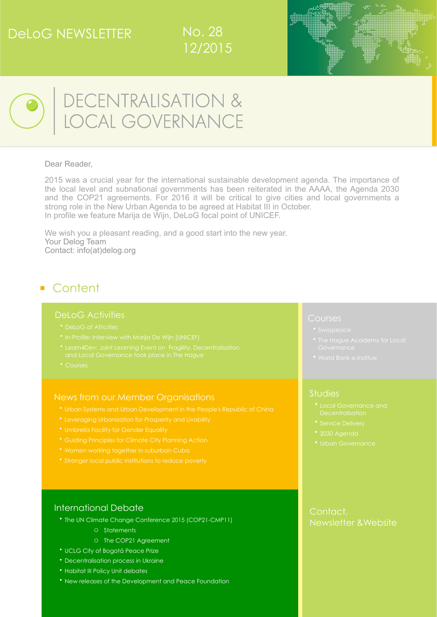## DeLoG NEWSLETTER







# DECENTRALISATION &<br>LOCAL GOVERNANCE

#### Dear Reader,

2015 was a crucial year for the international sustainable development agenda. The importance of the local level and subnational governments has been reiterated in the AAAA, the Agenda 2030 and the COP21 agreements. For 2016 it will be critical to give cities and local governments a strong role in the New Urban Agenda to be agreed at Habitat III in October. In profile we feature Marija de Wijn, DeLoG focal point of UNICEF.

We wish you a pleasant reading, and a good start into the new year. Your Delog Team Contact: [info\(at\)delog.org](mailto:info@delog.org) 

## ■ Content

#### DeLoG Activities

- 
- 
- 
- 

#### [News from our Member Organisations](#page-2-0)

- 
- [Leveraging Urbanization for Prosperity and Livability](#page-2-2)
- 
- 
- 
- 

#### [International Debate](#page-4-0)

- [The UN Climate Change Conference 2015 \(COP21-CMP11\)](#page-4-1) 
	- o [Statements](#page-4-1)
	- o [The COP21 Agreement](#page-4-1)
- [UCLG City of Bogotá Peace Prize](#page-4-2)
- [Decentralisation process in Ukraine](#page-5-0)
- [Habitat III Policy Unit debates](#page-5-1)
- [New releases of the Development and Peace Foundation](#page-5-2)

#### [Courses](#page-6-0)

- 
- 
- 

#### **[Studies](#page-8-0)**

- 
- 
- 
- 

#### [Contact,](#page-10-0)  [Newsletter &Website](#page-10-0)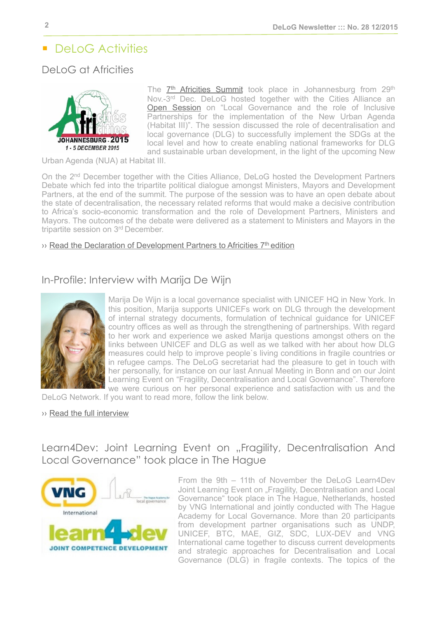## ■ DeLoG Activities

## <span id="page-1-0"></span>DeLoG at Africities



The  $7<sup>th</sup>$  Africities Summit took place in Johannesburg from 29<sup>th</sup> Nov.-3rd Dec. DeLoG hosted together with the Cities Alliance an [Open Session](http://delog.org/web/wp-content/uploads/2015/11/20151130_Concept_Note_Africities_JWPH3_DeLoG_final.pdf) on "Local Governance and the role of Inclusive Partnerships for the implementation of the New Urban Agenda (Habitat III)". The session discussed the role of decentralisation and local governance (DLG) to successfully implement the SDGs at the local level and how to create enabling national frameworks for DLG and sustainable urban development, in the light of the upcoming New

Urban Agenda (NUA) at Habitat III.

On the 2nd December together with the Cities Alliance, DeLoG hosted the Development Partners Debate which fed into the tripartite political dialogue amongst Ministers, Mayors and Development Partners, at the end of the summit. The purpose of the session was to have an open debate about the state of decentralisation, the necessary related reforms that would make a decisive contribution to Africa's socio-economic transformation and the role of Development Partners, Ministers and Mayors. The outcomes of the debate were delivered as a statement to Ministers and Mayors in the tripartite session on 3<sup>rd</sup> December.

#### $\rightarrow$  Read the Declaration of Development Partners to Africities  $7<sup>th</sup>$  edition

## <span id="page-1-1"></span>In-Profile: Interview with Marija De Wijn

Marija De Wijn is a local governance specialist with UNICEF HQ in New York. In this position, Marija supports UNICEFs work on DLG through the development of internal strategy documents, formulation of technical guidance for UNICEF country offices as well as through the strengthening of partnerships. With regard to her work and experience we asked Marija questions amongst others on the links between UNICEF and DLG as well as we talked with her about how DLG measures could help to improve people`s living conditions in fragile countries or in refugee camps. The DeLoG secretariat had the pleasure to get in touch with her personally, for instance on our last Annual Meeting in Bonn and on our Joint Learning Event on "Fragility, Decentralisation and Local Governance". Therefore we were curious on her personal experience and satisfaction with us and the

DeLoG Network. If you want to read more, follow the link below.

#### ›› [Read the full interview](http://delog.org/web/wp-content/uploads/2015/12/Newsletter_Interview_Marija_De_Wijn.pdf)

<span id="page-1-2"></span>Learn4Dev: Joint Learning Event on "Fragility, Decentralisation And Local Governance" took place in The Hague



From the 9th – 11th of November the DeLoG Learn4Dev Joint Learning Event on "Fragility, Decentralisation and Local Governance" took place in The Hague, Netherlands, hosted by VNG International and jointly conducted with The Hague Academy for Local Governance. More than 20 participants from development partner organisations such as UNDP, UNICEF, BTC, MAE, GIZ, SDC, LUX-DEV and VNG International came together to discuss current developments and strategic approaches for Decentralisation and Local Governance (DLG) in fragile contexts. The topics of the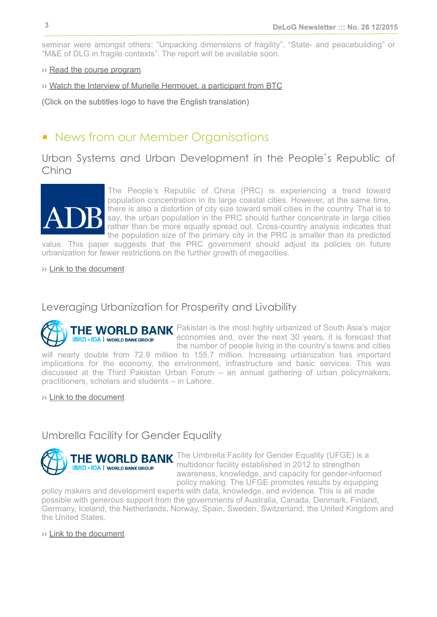seminar were amongst others: "Unpacking dimensions of fragility", "State- and peacebuilding" or "M&E of DLG in fragile contexts". The report will be available soon.

- ›› [Read the course program](http://delog.org/web/wp-content/uploads/2015/12/THA_Fragility_Programme_training_course.pdf)
- ›› [Watch the Interview of Murielle Hermouet, a participant from BTC](https://www.youtube.com/watch?v=mxr7VZ2w708&feature=youtu.be)

(Click on the subtitles logo to have the English translation)

## <span id="page-2-0"></span>■ News from our Member Organisations

<span id="page-2-1"></span>Urban Systems and Urban Development in the People`s Republic of China



The People's Republic of China (PRC) is experiencing a trend toward population concentration in its large coastal cities. However, at the same time, there is also a distortion of city size toward small cities in the country. That is to say, the urban population in the PRC should further concentrate in large cities rather than be more equally spread out. Cross-country analysis indicates that the population size of the primary city in the PRC is smaller than its predicted

value. This paper suggests that the PRC government should adjust its policies on future urbanization for fewer restrictions on the further growth of megacities.

›› [Link to the document](http://www.adb.org/publications/urban-systems-and-urban-development-prc)

#### <span id="page-2-2"></span>Leveraging Urbanization for Prosperity and Livability

THE WORLD BANK Pakistan is the most highly urbanized of South Asia's major economies and, over the next 30 years, it is forecast that **IBRD . IDA | WORLD BANK GROUP** the number of people living in the country's towns and cities will nearly double from 72.9 million to 155.7 million. Increasing urbanization has important implications for the economy, the environment, infrastructure and basic services. This was discussed at the Third Pakistan Urban Forum – an annual gathering of urban policymakers, practitioners, scholars and students – in Lahore.

›› [Link to the document](http://www.worldbank.org/en/news/feature/2015/12/09/leveraging-urbanization-for-prosperity-and-livability)

#### <span id="page-2-3"></span>Umbrella Facility for Gender Equality



THE WORLD BANK The Umbrella Facility for Gender Equality (UFGE) is a multidonor facility established in 2012 to strengthen awareness, knowledge, and capacity for gender-informed policy making. The UFGE promotes results by equipping

policy makers and development experts with data, knowledge, and evidence. This is all made possible with generous support from the governments of Australia, Canada, Denmark, Finland, Germany, Iceland, the Netherlands, Norway, Spain, Sweden, Switzerland, the United Kingdom and the United States.

›› [Link to the document](http://www-wds.worldbank.org/external/default/WDSContentServer/WDSP/IB/2015/11/05/090224b083194260/1_0/Rendered/PDF/Umbrella0facility0for0gender0equality.pdf)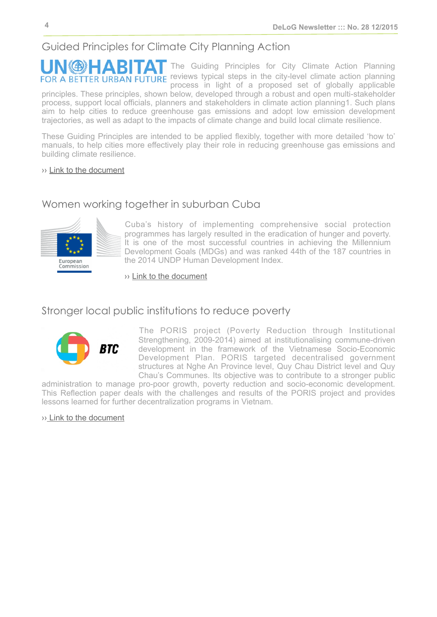## <span id="page-3-0"></span>Guided Principles for Climate City Planning Action

**UNGE-ABITAT** The Guiding Principles for City Climate Action Planning FOR A BETTER URBAN FUTURE reviews typical steps in the city-level climate action planning process in light of a proposed set of globally applicable

principles. These principles, shown below, developed through a robust and open multi-stakeholder process, support local officials, planners and stakeholders in climate action planning1. Such plans aim to help cities to reduce greenhouse gas emissions and adopt low emission development trajectories, as well as adapt to the impacts of climate change and build local climate resilience.

These Guiding Principles are intended to be applied flexibly, together with more detailed 'how to' manuals, to help cities more effectively play their role in reducing greenhouse gas emissions and building climate resilience.

#### ›› [Link to the document](http://unhabitat.org/books/guiding-principles-for-climate-city-planning-action/)

### <span id="page-3-1"></span>Women working together in suburban Cuba



Cuba's history of implementing comprehensive social protection programmes has largely resulted in the eradication of hunger and poverty. It is one of the most successful countries in achieving the Millennium Development Goals (MDGs) and was ranked 44th of the 187 countries in the 2014 UNDP Human Development Index.

›› [Link to the document](http://ec.europa.eu/europeaid/case-studies/suburban-agriculture-and-cooperative-building-10-municipalities-provinces-camaguey-la-0_en)

## <span id="page-3-2"></span>Stronger local public institutions to reduce poverty



The PORIS project (Poverty Reduction through Institutional Strengthening, 2009-2014) aimed at institutionalising commune-driven development in the framework of the Vietnamese Socio-Economic Development Plan. PORIS targeted decentralised government structures at Nghe An Province level, Quy Chau District level and Quy Chau's Communes. Its objective was to contribute to a stronger public

administration to manage pro-poor growth, poverty reduction and socio-economic development. This Reflection paper deals with the challenges and results of the PORIS project and provides lessons learned for further decentralization programs in Vietnam.

›[› Link to the document](http://www.btcctb.org/files/web/publication/004_Commune-driven%20development%20in%20Vietnam_Stronger%20local%20public%20institutions%20to%20reduce%20poverty.pdf)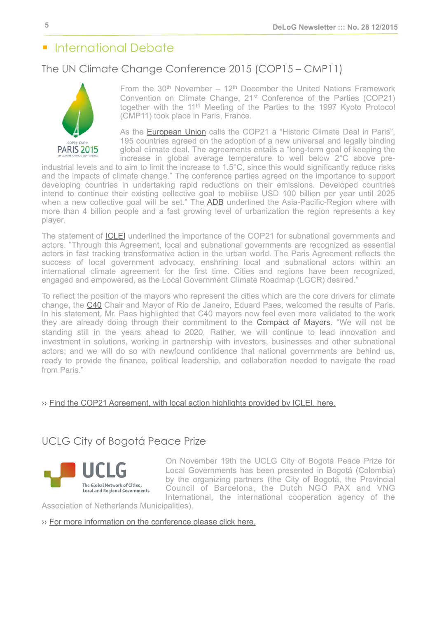## <span id="page-4-0"></span>■ International Debate

## <span id="page-4-1"></span>The UN Climate Change Conference 2015 (COP15 – CMP11)



From the  $30<sup>th</sup>$  November –  $12<sup>th</sup>$  December the United Nations Framework Convention on Climate Change, 21st Conference of the Parties (COP21) together with the 11<sup>th</sup> Meeting of the Parties to the 1997 Kyoto Protocol (CMP11) took place in Paris, France.

As the [European Union](http://europa.eu/rapid/press-release_IP-15-6308_en.htm) calls the COP21 a "Historic Climate Deal in Paris", 195 countries agreed on the adoption of a new universal and legally binding global climate deal. The agreements entails a "long-term goal of keeping the increase in global average temperature to well below 2°C above pre-

industrial levels and to aim to limit the increase to 1.5°C, since this would significantly reduce risks and the impacts of climate change." The conference parties agreed on the importance to support developing countries in undertaking rapid reductions on their emissions. Developed countries intend to continue their existing collective goal to mobilise USD 100 billion per year until 2025 when a new collective goal will be set." The [ADB](http://www.adb.org/news/statement-adb-president-takehiko-nakao-following-conclusion-un-framework-convention-climate) underlined the Asia-Pacific-Region where with more than 4 billion people and a fast growing level of urbanization the region represents a key player.

The statement of **ICLEI** underlined the importance of the COP21 for subnational governments and actors. "Through this Agreement, local and subnational governments are recognized as essential actors in fast tracking transformative action in the urban world. The Paris Agreement reflects the success of local government advocacy, enshrining local and subnational actors within an international climate agreement for the first time. Cities and regions have been recognized, engaged and empowered, as the Local Government Climate Roadmap (LGCR) desired."

To reflect the position of the mayors who represent the cities which are the core drivers for climate change, the [C40](http://www.c40.org/blog_posts/c40-welcomes-historic-climate-deal) Chair and Mayor of Rio de Janeiro, Eduard Paes, welcomed the results of Paris. In his statement, Mr. Paes highlighted that C40 mayors now feel even more validated to the work they are already doing through their commitment to the **[Compact of Mayors](http://www.uclg.org/sites/default/files/compact_of_mayors_faq_for_cites.pdf)**. "We will not be standing still in the years ahead to 2020. Rather, we will continue to lead innovation and investment in solutions, working in partnership with investors, businesses and other subnational actors; and we will do so with newfound confidence that national governments are behind us, ready to provide the finance, political leadership, and collaboration needed to navigate the road from Paris."

#### ›› [Find the COP21 Agreement, with local action highlights provided by ICLEI, here.](http://www.iclei.org/fileadmin/user_upload/ICLEI_WS/Documents/events/COP21/Final_Paris_Agreement_Highlighted.pdf)

## <span id="page-4-2"></span>UCLG City of Bogotá Peace Prize



On November 19th the UCLG City of Bogotá Peace Prize for Local Governments has been presented in Bogotá (Colombia) by the organizing partners (the City of Bogotá, the Provincial Council of Barcelona, the Dutch NGO PAX and VNG International, the international cooperation agency of the

Association of Netherlands Municipalities).

[›› For more information on the conference please click here.](http://www.peaceprize.uclg.org/)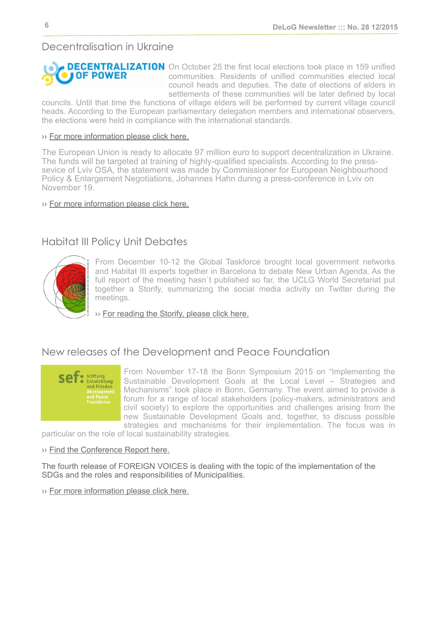## <span id="page-5-0"></span>Decentralisation in Ukraine



**DECENTRALIZATION** On October 25 the first local elections took place in 159 unified communities. Residents of unified communities elected local council heads and deputies. The date of elections of elders in settlements of these communities will be later defined by local

councils. Until that time the functions of village elders will be performed by current village council heads. According to the European parliamentary delegation members and international observers, the elections were held in compliance with the international standards.

#### ›› [For more information please click here.](http://decentralization.gov.ua/en/news/item/id/684)

The European Union is ready to allocate 97 million euro to support decentralization in Ukraine. The funds will be targeted at training of highly-qualified specialists. According to the presssevice of Lviv OSA, the statement was made by Commissioner for European Neighbourhood Policy & Enlargement Negotiations, Johannes Hahn during a press-conference in Lviv on November 19.

#### ›› [For more information please click here.](http://decentralization.gov.ua/en/news/item/id/1110)

## <span id="page-5-1"></span>Habitat III Policy Unit Debates



From December 10-12 the Global Taskforce brought local government networks and Habitat III experts together in Barcelona to debate New Urban Agenda. As the full report of the meeting hasn't published so far, the UCLG World Secretariat put together a Storify, summarizing the social media activity on Twitter during the meetings.

›› [For reading the Storify, please click here.](https://storify.com/GTF2016/habitat-iii-policy-unit-debates-gtfmeets)

## <span id="page-5-2"></span>New releases of the Development and Peace Foundation



From November 17-18 the Bonn Symposium 2015 on "Implementing the Sustainable Development Goals at the Local Level – Strategies and Mechanisms" took place in Bonn, Germany. The event aimed to provide a forum for a range of local stakeholders (policy-makers, administrators and civil society) to explore the opportunities and challenges arising from the new Sustainable Development Goals and, together, to discuss possible strategies and mechanisms for their implementation. The focus was in

particular on the role of local sustainability strategies.

#### ›› [Find the Conference Report here.](http://www.sef-bonn.org/en/events/bonn-symposium/bonn-symposium-2015/conference-report-presentations-interviews.html)

The fourth release of FOREIGN VOICES is dealing with the topic of the implementation of the SDGs and the roles and responsibilities of Municipalities.

›› [For more information please click here.](http://www.sef-bonn.org/fileadmin/Die_SEF/Publikationen/Foreign_Voices/fv_2015-04_ofei-aboagye_en.pdf)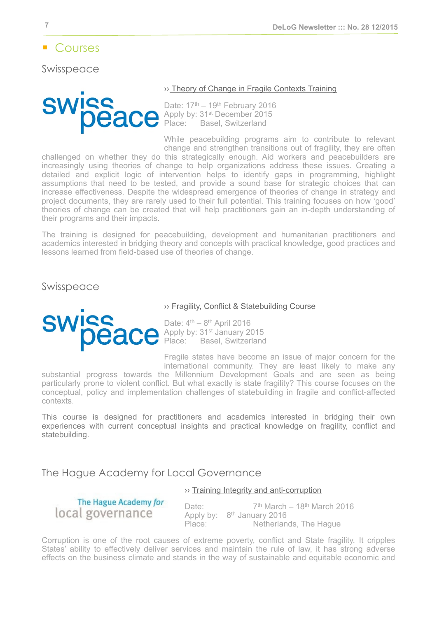## <span id="page-6-0"></span>**Courses**

<span id="page-6-1"></span>Swisspeace



#### [›› Theory of Change in Fragile Contexts Training](http://academy.swisspeace.ch/courses/theories-of-change/aim-target-audience/)

Date:  $17<sup>th</sup> - 19<sup>th</sup>$  February 2016 Apply by: 31<sup>st</sup> December 2015 Place: Basel, Switzerland

While peacebuilding programs aim to contribute to relevant change and strengthen transitions out of fragility, they are often

challenged on whether they do this strategically enough. Aid workers and peacebuilders are increasingly using theories of change to help organizations address these issues. Creating a detailed and explicit logic of intervention helps to identify gaps in programming, highlight assumptions that need to be tested, and provide a sound base for strategic choices that can increase effectiveness. Despite the widespread emergence of theories of change in strategy and project documents, they are rarely used to their full potential. This training focuses on how 'good' theories of change can be created that will help practitioners gain an in-depth understanding of their programs and their impacts.

The training is designed for peacebuilding, development and humanitarian practitioners and academics interested in bridging theory and concepts with practical knowledge, good practices and lessons learned from field-based use of theories of change.

Swisspeace



#### [›› Fragility, Conflict & Statebuilding Course](http://academy.swisspeace.ch/courses/fragility-statebuilding/aim-target-audience/)

Date:  $4<sup>th</sup> - 8<sup>th</sup>$  April 2016 Apply by: 31<sup>st</sup> January 2015 Place: Basel, Switzerland

Fragile states have become an issue of major concern for the international community. They are least likely to make any

substantial progress towards the Millennium Development Goals and are seen as being particularly prone to violent conflict. But what exactly is state fragility? This course focuses on the conceptual, policy and implementation challenges of statebuilding in fragile and conflict-affected contexts.

This course is designed for practitioners and academics interested in bridging their own experiences with current conceptual insights and practical knowledge on fragility, conflict and statebuilding.

<span id="page-6-2"></span>The Hague Academy for Local Governance

#### [›› Training Integrity and anti-corruption](http://thehagueacademy.com/blog/2015/05/integrity-and-anti-corruption-2/)

The Hague Academy for local governance

Date:  $7<sup>th</sup> March - 18<sup>th</sup> March 2016$ Apply by: 8th January 2016 Place: Netherlands, The Haque

Corruption is one of the root causes of extreme poverty, conflict and State fragility. It cripples States' ability to effectively deliver services and maintain the rule of law, it has strong adverse effects on the business climate and stands in the way of sustainable and equitable economic and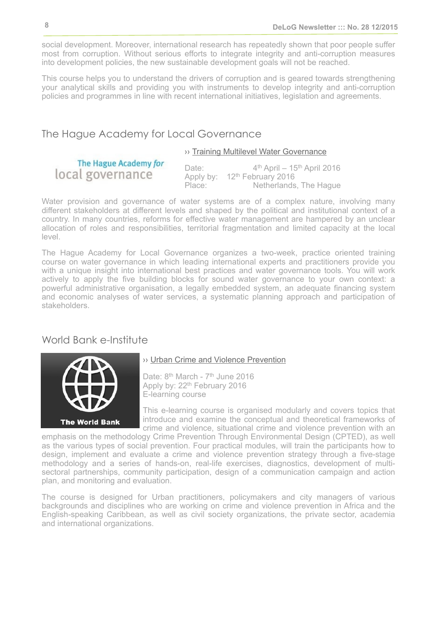social development. Moreover, international research has repeatedly shown that poor people suffer most from corruption. Without serious efforts to integrate integrity and anti-corruption measures into development policies, the new sustainable development goals will not be reached.

This course helps you to understand the drivers of corruption and is geared towards strengthening your analytical skills and providing you with instruments to develop integrity and anti-corruption policies and programmes in line with recent international initiatives, legislation and agreements.

#### The Hague Academy for Local Governance

#### ›› [Training Multilevel Water Governance](http://thehagueacademy.com/blog/2015/05/multilevel-water-governance-3/)

The Hague Academy for local governance

Date: 4<sup>th</sup> April – 15<sup>th</sup> April 2016 Apply by: 12<sup>th</sup> February 2016 Place: Netherlands, The Hague

Water provision and governance of water systems are of a complex nature, involving many different stakeholders at different levels and shaped by the political and institutional context of a country. In many countries, reforms for effective water management are hampered by an unclear allocation of roles and responsibilities, territorial fragmentation and limited capacity at the local level.

The Hague Academy for Local Governance organizes a two-week, practice oriented training course on water governance in which leading international experts and practitioners provide you with a unique insight into international best practices and water governance tools. You will work actively to apply the five building blocks for sound water governance to your own context: a powerful administrative organisation, a legally embedded system, an adequate financing system and economic analyses of water services, a systematic planning approach and participation of stakeholders.

#### <span id="page-7-0"></span>World Bank e-Institute



#### [›› Urban Crime and Violence Prevention](http://wbi.worldbank.org/wbi/course/urban-crime-and-violence-prevention)

Date: 8<sup>th</sup> March - 7<sup>th</sup> June 2016 Apply by: 22<sup>th</sup> February 2016 E-learning course

This e-learning course is organised modularly and covers topics that introduce and examine the conceptual and theoretical frameworks of crime and violence, situational crime and violence prevention with an

emphasis on the methodology Crime Prevention Through Environmental Design (CPTED), as well as the various types of social prevention. Four practical modules, will train the participants how to design, implement and evaluate a crime and violence prevention strategy through a five-stage methodology and a series of hands-on, real-life exercises, diagnostics, development of multisectoral partnerships, community participation, design of a communication campaign and action plan, and monitoring and evaluation.

The course is designed for Urban practitioners, policymakers and city managers of various backgrounds and disciplines who are working on crime and violence prevention in Africa and the English-speaking Caribbean, as well as civil society organizations, the private sector, academia and international organizations.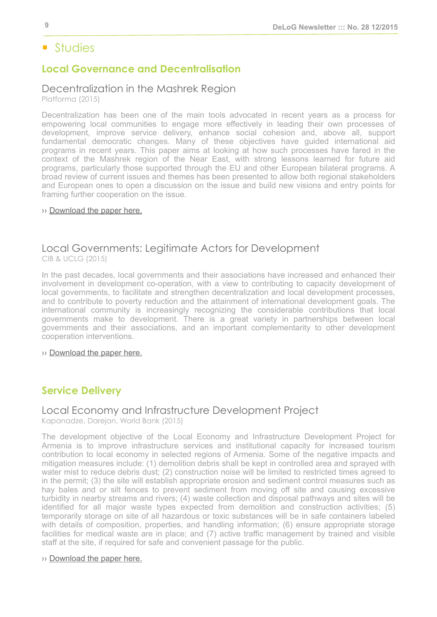## <span id="page-8-0"></span>■ Studies

## <span id="page-8-1"></span>**Local Governance and Decentralisation**

## Decentralization in the Mashrek Region

Platforma (2015)

Decentralization has been one of the main tools advocated in recent years as a process for empowering local communities to engage more effectively in leading their own processes of development, improve service delivery, enhance social cohesion and, above all, support fundamental democratic changes. Many of these objectives have guided international aid programs in recent years. This paper aims at looking at how such processes have fared in the context of the Mashrek region of the Near East, with strong lessons learned for future aid programs, particularly those supported through the EU and other European bilateral programs. A broad review of current issues and themes has been presented to allow both regional stakeholders and European ones to open a discussion on the issue and build new visions and entry points for framing further cooperation on the issue.

#### ›› [Download the paper here.](http://delog.org/web/wp-content/uploads/2015/11/Mashrek-Decentralisation-in-the-Mashrek-region.pdf)

#### Local Governments: Legitimate Actors for Development CIB & UCLG (2015)

In the past decades, local governments and their associations have increased and enhanced their involvement in development co-operation, with a view to contributing to capacity development of local governments, to facilitate and strengthen decentralization and local development processes, and to contribute to poverty reduction and the attainment of international development goals. The international community is increasingly recognizing the considerable contributions that local governments make to development. There is a great variety in partnerships between local governments and their associations, and an important complementarity to other development cooperation interventions.

›› [Download the paper here.](http://www.cib-uclg.org/cib-library/content/local-governments-legitimate-actors-development-results-achieved-uclg-champions)

## <span id="page-8-2"></span>**Service Delivery**

## Local Economy and Infrastructure Development Project

Kapanadze, Darejan, World Bank (2015)

The development objective of the Local Economy and Infrastructure Development Project for Armenia is to improve infrastructure services and institutional capacity for increased tourism contribution to local economy in selected regions of Armenia. Some of the negative impacts and mitigation measures include: (1) demolition debris shall be kept in controlled area and sprayed with water mist to reduce debris dust; (2) construction noise will be limited to restricted times agreed to in the permit; (3) the site will establish appropriate erosion and sediment control measures such as hay bales and or silt fences to prevent sediment from moving off site and causing excessive turbidity in nearby streams and rivers; (4) waste collection and disposal pathways and sites will be identified for all major waste types expected from demolition and construction activities; (5) temporarily storage on site of all hazardous or toxic substances will be in safe containers labeled with details of composition, properties, and handling information; (6) ensure appropriate storage facilities for medical waste are in place; and (7) active traffic management by trained and visible staff at the site, if required for safe and convenient passage for the public.

#### ›› [Download the paper here.](http://www-wds.worldbank.org/external/default/WDSContentServer/WDSP/ECA/2015/11/03/090224b08318a795/2_0/Rendered/PDF/Armenia000Loca0anagement0framework.pdf)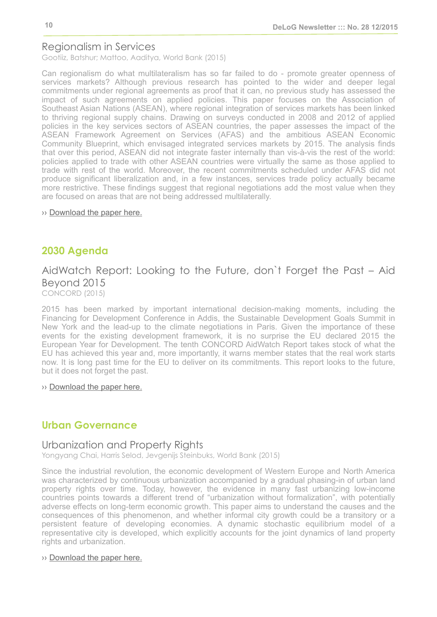## Regionalism in Services

Gootiiz, Batshur; Mattoo, Aaditya, World Bank (2015)

Can regionalism do what multilateralism has so far failed to do - promote greater openness of services markets? Although previous research has pointed to the wider and deeper legal commitments under regional agreements as proof that it can, no previous study has assessed the impact of such agreements on applied policies. This paper focuses on the Association of Southeast Asian Nations (ASEAN), where regional integration of services markets has been linked to thriving regional supply chains. Drawing on surveys conducted in 2008 and 2012 of applied policies in the key services sectors of ASEAN countries, the paper assesses the impact of the ASEAN Framework Agreement on Services (AFAS) and the ambitious ASEAN Economic Community Blueprint, which envisaged integrated services markets by 2015. The analysis finds that over this period, ASEAN did not integrate faster internally than vis-à-vis the rest of the world: policies applied to trade with other ASEAN countries were virtually the same as those applied to trade with rest of the world. Moreover, the recent commitments scheduled under AFAS did not produce significant liberalization and, in a few instances, services trade policy actually became more restrictive. These findings suggest that regional negotiations add the most value when they are focused on areas that are not being addressed multilaterally.

›› [Download the paper here.](http://www-wds.worldbank.org/external/default/WDSContentServer/WDSP/IB/2015/11/17/090224b0831c1685/1_0/Rendered/PDF/Regionalism0in0s000a0study0of0ASEAN.pdf)

## <span id="page-9-0"></span>**2030 Agenda**

## AidWatch Report: Looking to the Future, don`t Forget the Past – Aid Beyond 2015

CONCORD (2015)

2015 has been marked by important international decision-making moments, including the Financing for Development Conference in Addis, the Sustainable Development Goals Summit in New York and the lead-up to the climate negotiations in Paris. Given the importance of these events for the existing development framework, it is no surprise the EU declared 2015 the European Year for Development. The tenth CONCORD AidWatch Report takes stock of what the EU has achieved this year and, more importantly, it warns member states that the real work starts now. It is long past time for the EU to deliver on its commitments. This report looks to the future, but it does not forget the past.

#### ›› [Download the paper here.](http://www.concordeurope.org/publications/item/480-aidwatch-report-looking-to-the-future-don-t-forget-the-past-aid-beyond-2015)

#### <span id="page-9-1"></span>**Urban Governance**

#### Urbanization and Property Rights

Yongyang Chai, Harris Selod, Jevgenijs Steinbuks, World Bank (2015)

Since the industrial revolution, the economic development of Western Europe and North America was characterized by continuous urbanization accompanied by a gradual phasing-in of urban land property rights over time. Today, however, the evidence in many fast urbanizing low-income countries points towards a different trend of "urbanization without formalization", with potentially adverse effects on long-term economic growth. This paper aims to understand the causes and the consequences of this phenomenon, and whether informal city growth could be a transitory or a persistent feature of developing economies. A dynamic stochastic equilibrium model of a representative city is developed, which explicitly accounts for the joint dynamics of land property rights and urbanization.

#### ›› [Download the paper here.](http://www-wds.worldbank.org/external/default/WDSContentServer/WDSP/IB/2015/11/10/090224b0831a9c6a/2_0/Rendered/PDF/Urbanization0and0property0rights.pdf)